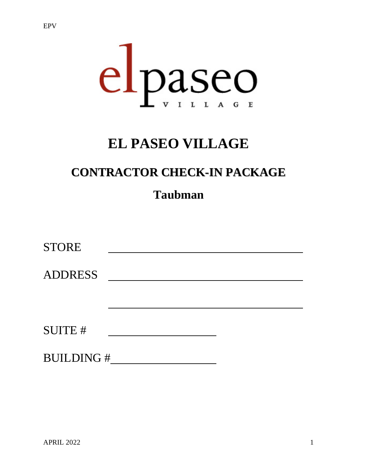

# **EL PASEO VILLAGE**

# **CONTRACTOR CHECK-IN PACKAGE**

## **Taubman**

| <b>STORE</b>   |  |  |
|----------------|--|--|
| <b>ADDRESS</b> |  |  |
|                |  |  |
|                |  |  |
| <b>SUITE#</b>  |  |  |
|                |  |  |

BUILDING #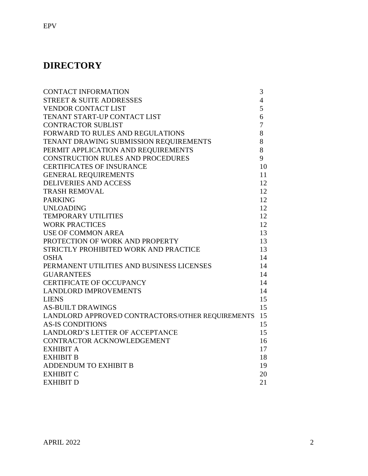## **DIRECTORY**

EPV

| <b>CONTACT INFORMATION</b>                       | 3              |
|--------------------------------------------------|----------------|
| <b>STREET &amp; SUITE ADDRESSES</b>              | $\overline{4}$ |
| <b>VENDOR CONTACT LIST</b>                       | 5              |
| TENANT START-UP CONTACT LIST                     | 6              |
| <b>CONTRACTOR SUBLIST</b>                        | 7              |
| FORWARD TO RULES AND REGULATIONS                 | 8              |
| TENANT DRAWING SUBMISSION REQUIREMENTS           | 8              |
| PERMIT APPLICATION AND REQUIREMENTS              | 8              |
| <b>CONSTRUCTION RULES AND PROCEDURES</b>         | 9              |
| <b>CERTIFICATES OF INSURANCE</b>                 | 10             |
| <b>GENERAL REQUIREMENTS</b>                      | 11             |
| <b>DELIVERIES AND ACCESS</b>                     | 12             |
| <b>TRASH REMOVAL</b>                             | 12             |
| <b>PARKING</b>                                   | 12             |
| <b>UNLOADING</b>                                 | 12             |
| <b>TEMPORARY UTILITIES</b>                       | 12             |
| <b>WORK PRACTICES</b>                            | 12             |
| <b>USE OF COMMON AREA</b>                        | 13             |
| PROTECTION OF WORK AND PROPERTY                  | 13             |
| STRICTLY PROHIBITED WORK AND PRACTICE            | 13             |
| <b>OSHA</b>                                      | 14             |
| PERMANENT UTILITIES AND BUSINESS LICENSES        | 14             |
| <b>GUARANTEES</b>                                | 14             |
| <b>CERTIFICATE OF OCCUPANCY</b>                  | 14             |
| <b>LANDLORD IMPROVEMENTS</b>                     | 14             |
| <b>LIENS</b>                                     | 15             |
| <b>AS-BUILT DRAWINGS</b>                         | 15             |
| LANDLORD APPROVED CONTRACTORS/OTHER REQUIREMENTS | 15             |
| <b>AS-IS CONDITIONS</b>                          | 15             |
| <b>LANDLORD'S LETTER OF ACCEPTANCE</b>           | 15             |
| CONTRACTOR ACKNOWLEDGEMENT                       | 16             |
| <b>EXHIBIT A</b>                                 | 17             |
| <b>EXHIBIT B</b>                                 | 18             |
| <b>ADDENDUM TO EXHIBIT B</b>                     | 19             |
| <b>EXHIBIT C</b>                                 | 20             |
| <b>EXHIBIT D</b>                                 | 21             |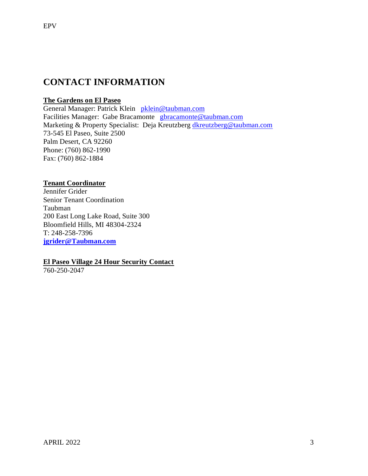## **CONTACT INFORMATION**

### **The Gardens on El Paseo**

General Manager: Patrick Klein [pklein@taubman.com](mailto:pklein@taubman.com) Facilities Manager: Gabe Bracamonte [gbracamonte@taubman.com](mailto:gbracamonte@taubman.com) Marketing & Property Specialist: Deja Kreutzberg [dkreutzberg@taubman.com](mailto:dkreutzberg@taubman.com) 73-545 El Paseo, Suite 2500 Palm Desert, CA 92260 Phone: (760) 862-1990 Fax: (760) 862-1884

### **Tenant Coordinator**

Jennifer Grider Senior Tenant Coordination Taubman 200 East Long Lake Road, Suite 300 Bloomfield Hills, MI 48304-2324 T: 248-258-7396 **[jgrider@Taubman.com](mailto:jgrider@Taubman.com)**

## **El Paseo Village 24 Hour Security Contact**

760-250-2047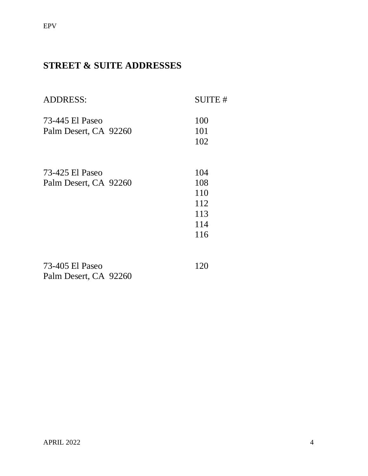## **STREET & SUITE ADDRESSES**

| <b>ADDRESS:</b>                          | <b>SUITE#</b> |
|------------------------------------------|---------------|
| 73-445 El Paseo<br>Palm Desert, CA 92260 | 100<br>101    |
|                                          | 102           |
| 73-425 El Paseo                          | 104           |
| Palm Desert, CA 92260                    | 108<br>110    |
|                                          | 112<br>113    |
|                                          | 114           |
|                                          | 116           |
| 73-405 El Paseo<br>Palm Desert, CA 92260 | 120           |
|                                          |               |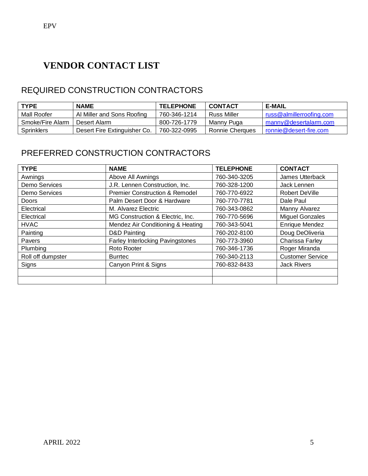## **VENDOR CONTACT LIST**

## REQUIRED CONSTRUCTION CONTRACTORS

| <b>TYPE</b>      | <b>NAME</b>                  | <b>TELEPHONE</b> | <b>CONTACT</b>     | <b>E-MAIL</b>            |
|------------------|------------------------------|------------------|--------------------|--------------------------|
| Mall Roofer      | Al Miller and Sons Roofing   | 760-346-1214     | <b>Russ Miller</b> | russ@almillerroofing.com |
| Smoke/Fire Alarm | Desert Alarm                 | 800-726-1779     | Manny Puga         | manny@desertalarm.com    |
| Sprinklers       | Desert Fire Extinguisher Co. | 760-322-0995     | Ronnie Cherques    | ronnie@desert-fire.com   |

## PREFERRED CONSTRUCTION CONTRACTORS

| <b>TYPE</b>       | <b>NAME</b>                               | <b>TELEPHONE</b> | <b>CONTACT</b>          |
|-------------------|-------------------------------------------|------------------|-------------------------|
| Awnings           | Above All Awnings                         | 760-340-3205     | James Utterback         |
| Demo Services     | J.R. Lennen Construction, Inc.            | 760-328-1200     | Jack Lennen             |
| Demo Services     | <b>Premier Construction &amp; Remodel</b> | 760-770-6922     | Robert DeVille          |
| <b>Doors</b>      | Palm Desert Door & Hardware               | 760-770-7781     | Dale Paul               |
| Electrical        | M. Alvarez Electric                       | 760-343-0862     | Manny Alvarez           |
| Electrical        | MG Construction & Electric, Inc.          | 760-770-5696     | <b>Miguel Gonzales</b>  |
| <b>HVAC</b>       | Mendez Air Conditioning & Heating         | 760-343-5041     | <b>Enrique Mendez</b>   |
| Painting          | D&D Painting                              | 760-202-8100     | Doug DeOliveria         |
| Pavers            | <b>Farley Interlocking Pavingstones</b>   | 760-773-3960     | Charissa Farley         |
| Plumbing          | Roto Rooter                               | 760-346-1736     | Roger Miranda           |
| Roll off dumpster | <b>Burrtec</b>                            | 760-340-2113     | <b>Customer Service</b> |
| Signs             | Canyon Print & Signs                      | 760-832-8433     | <b>Jack Rivers</b>      |
|                   |                                           |                  |                         |
|                   |                                           |                  |                         |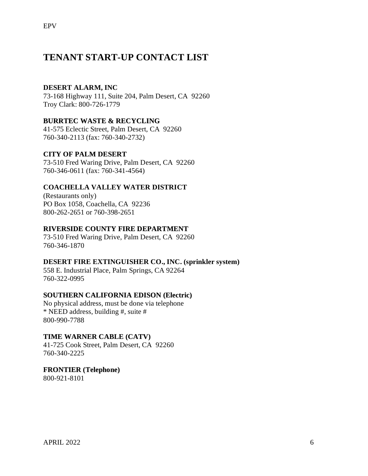## **TENANT START-UP CONTACT LIST**

## **DESERT ALARM, INC**

73-168 Highway 111, Suite 204, Palm Desert, CA 92260 Troy Clark: 800-726-1779

## **BURRTEC WASTE & RECYCLING**

41-575 Eclectic Street, Palm Desert, CA 92260 760-340-2113 (fax: 760-340-2732)

## **CITY OF PALM DESERT**

73-510 Fred Waring Drive, Palm Desert, CA 92260 760-346-0611 (fax: 760-341-4564)

## **COACHELLA VALLEY WATER DISTRICT**

(Restaurants only) PO Box 1058, Coachella, CA 92236 800-262-2651 or 760-398-2651

## **RIVERSIDE COUNTY FIRE DEPARTMENT**

73-510 Fred Waring Drive, Palm Desert, CA 92260 760-346-1870

## **DESERT FIRE EXTINGUISHER CO., INC. (sprinkler system)**

558 E. Industrial Place, Palm Springs, CA 92264 760-322-0995

## **SOUTHERN CALIFORNIA EDISON (Electric)**

No physical address, must be done via telephone \* NEED address, building #, suite # 800-990-7788

## **TIME WARNER CABLE (CATV)**

41-725 Cook Street, Palm Desert, CA 92260 760-340-2225

**FRONTIER (Telephone)** 800-921-8101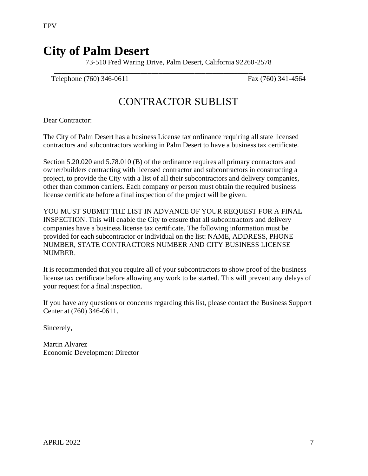## **City of Palm Desert**

73-510 Fred Waring Drive, Palm Desert, California 92260-2578 **\_\_\_\_\_\_\_\_\_\_\_\_\_\_\_\_\_\_\_\_\_\_\_\_\_\_\_\_\_\_\_\_\_\_\_\_\_\_\_\_\_\_\_\_\_\_\_\_\_\_\_\_\_\_\_\_\_\_\_\_\_\_\_\_\_\_\_\_\_**

Telephone (760) 346-0611 Fax (760) 341-4564

## CONTRACTOR SUBLIST

Dear Contractor:

The City of Palm Desert has a business License tax ordinance requiring all state licensed contractors and subcontractors working in Palm Desert to have a business tax certificate.

Section 5.20.020 and 5.78.010 (B) of the ordinance requires all primary contractors and owner/builders contracting with licensed contractor and subcontractors in constructing a project, to provide the City with a list of all their subcontractors and delivery companies, other than common carriers. Each company or person must obtain the required business license certificate before a final inspection of the project will be given.

YOU MUST SUBMIT THE LIST IN ADVANCE OF YOUR REQUEST FOR A FINAL INSPECTION. This will enable the City to ensure that all subcontractors and delivery companies have a business license tax certificate. The following information must be provided for each subcontractor or individual on the list: NAME, ADDRESS, PHONE NUMBER, STATE CONTRACTORS NUMBER AND CITY BUSINESS LICENSE NUMBER.

It is recommended that you require all of your subcontractors to show proof of the business license tax certificate before allowing any work to be started. This will prevent any delays of your request for a final inspection.

If you have any questions or concerns regarding this list, please contact the Business Support Center at (760) 346-0611.

Sincerely,

Martin Alvarez Economic Development Director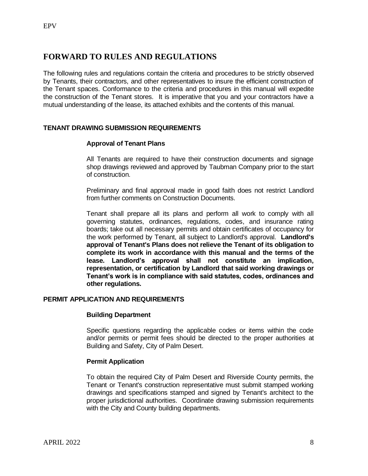## **FORWARD TO RULES AND REGULATIONS**

The following rules and regulations contain the criteria and procedures to be strictly observed by Tenants, their contractors, and other representatives to insure the efficient construction of the Tenant spaces. Conformance to the criteria and procedures in this manual will expedite the construction of the Tenant stores. It is imperative that you and your contractors have a mutual understanding of the lease, its attached exhibits and the contents of this manual.

### **TENANT DRAWING SUBMISSION REQUIREMENTS**

#### **Approval of Tenant Plans**

All Tenants are required to have their construction documents and signage shop drawings reviewed and approved by Taubman Company prior to the start of construction.

Preliminary and final approval made in good faith does not restrict Landlord from further comments on Construction Documents.

Tenant shall prepare all its plans and perform all work to comply with all governing statutes, ordinances, regulations, codes, and insurance rating boards; take out all necessary permits and obtain certificates of occupancy for the work performed by Tenant, all subject to Landlord's approval. **Landlord's approval of Tenant's Plans does not relieve the Tenant of its obligation to complete its work in accordance with this manual and the terms of the lease. Landlord's approval shall not constitute an implication, representation, or certification by Landlord that said working drawings or Tenant's work is in compliance with said statutes, codes, ordinances and other regulations.**

#### **PERMIT APPLICATION AND REQUIREMENTS**

#### **Building Department**

Specific questions regarding the applicable codes or items within the code and/or permits or permit fees should be directed to the proper authorities at Building and Safety, City of Palm Desert.

#### **Permit Application**

To obtain the required City of Palm Desert and Riverside County permits, the Tenant or Tenant's construction representative must submit stamped working drawings and specifications stamped and signed by Tenant's architect to the proper jurisdictional authorities. Coordinate drawing submission requirements with the City and County building departments.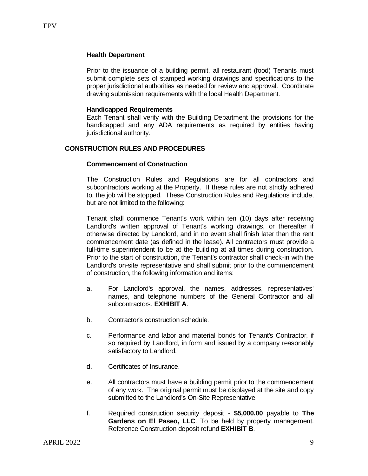Prior to the issuance of a building permit, all restaurant (food) Tenants must submit complete sets of stamped working drawings and specifications to the proper jurisdictional authorities as needed for review and approval. Coordinate drawing submission requirements with the local Health Department.

#### **Handicapped Requirements**

Each Tenant shall verify with the Building Department the provisions for the handicapped and any ADA requirements as required by entities having jurisdictional authority.

#### **CONSTRUCTION RULES AND PROCEDURES**

#### **Commencement of Construction**

The Construction Rules and Regulations are for all contractors and subcontractors working at the Property. If these rules are not strictly adhered to, the job will be stopped. These Construction Rules and Regulations include, but are not limited to the following:

Tenant shall commence Tenant's work within ten (10) days after receiving Landlord's written approval of Tenant's working drawings, or thereafter if otherwise directed by Landlord, and in no event shall finish later than the rent commencement date (as defined in the lease). All contractors must provide a full-time superintendent to be at the building at all times during construction. Prior to the start of construction, the Tenant's contractor shall check-in with the Landlord's on-site representative and shall submit prior to the commencement of construction, the following information and items:

- a. For Landlord's approval, the names, addresses, representatives' names, and telephone numbers of the General Contractor and all subcontractors. **EXHIBIT A**.
- b. Contractor's construction schedule.
- c. Performance and labor and material bonds for Tenant's Contractor, if so required by Landlord, in form and issued by a company reasonably satisfactory to Landlord.
- d. Certificates of Insurance.
- e. All contractors must have a building permit prior to the commencement of any work. The original permit must be displayed at the site and copy submitted to the Landlord's On-Site Representative.
- f. Required construction security deposit **\$5,000.00** payable to **The Gardens on El Paseo, LLC**. To be held by property management. Reference Construction deposit refund **EXHIBIT B**.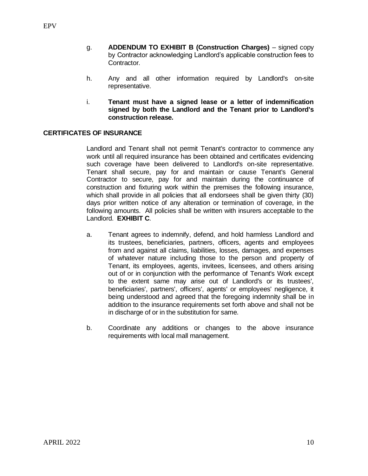- g. **ADDENDUM TO EXHIBIT B (Construction Charges)** signed copy by Contractor acknowledging Landlord's applicable construction fees to Contractor.
- h. Any and all other information required by Landlord's on-site representative.
- i. **Tenant must have a signed lease or a letter of indemnification signed by both the Landlord and the Tenant prior to Landlord's construction release.**

#### **CERTIFICATES OF INSURANCE**

Landlord and Tenant shall not permit Tenant's contractor to commence any work until all required insurance has been obtained and certificates evidencing such coverage have been delivered to Landlord's on-site representative. Tenant shall secure, pay for and maintain or cause Tenant's General Contractor to secure, pay for and maintain during the continuance of construction and fixturing work within the premises the following insurance, which shall provide in all policies that all endorsees shall be given thirty (30) days prior written notice of any alteration or termination of coverage, in the following amounts. All policies shall be written with insurers acceptable to the Landlord. **EXHIBIT C**.

- a. Tenant agrees to indemnify, defend, and hold harmless Landlord and its trustees, beneficiaries, partners, officers, agents and employees from and against all claims, liabilities, losses, damages, and expenses of whatever nature including those to the person and property of Tenant, its employees, agents, invitees, licensees, and others arising out of or in conjunction with the performance of Tenant's Work except to the extent same may arise out of Landlord's or its trustees', beneficiaries', partners', officers', agents' or employees' negligence, it being understood and agreed that the foregoing indemnity shall be in addition to the insurance requirements set forth above and shall not be in discharge of or in the substitution for same.
- b. Coordinate any additions or changes to the above insurance requirements with local mall management.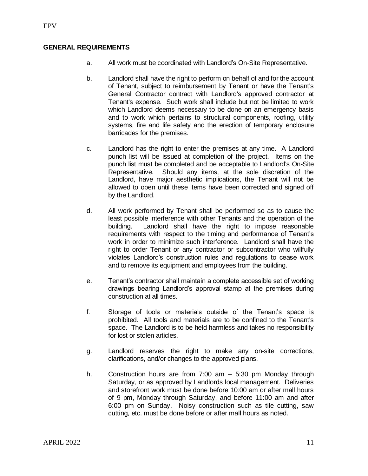#### **GENERAL REQUIREMENTS**

- a. All work must be coordinated with Landlord's On-Site Representative.
- b. Landlord shall have the right to perform on behalf of and for the account of Tenant, subject to reimbursement by Tenant or have the Tenant's General Contractor contract with Landlord's approved contractor at Tenant's expense. Such work shall include but not be limited to work which Landlord deems necessary to be done on an emergency basis and to work which pertains to structural components, roofing, utility systems, fire and life safety and the erection of temporary enclosure barricades for the premises.
- c. Landlord has the right to enter the premises at any time. A Landlord punch list will be issued at completion of the project. Items on the punch list must be completed and be acceptable to Landlord's On-Site Representative. Should any items, at the sole discretion of the Landlord, have major aesthetic implications, the Tenant will not be allowed to open until these items have been corrected and signed off by the Landlord.
- d. All work performed by Tenant shall be performed so as to cause the least possible interference with other Tenants and the operation of the building. Landlord shall have the right to impose reasonable requirements with respect to the timing and performance of Tenant's work in order to minimize such interference. Landlord shall have the right to order Tenant or any contractor or subcontractor who willfully violates Landlord's construction rules and regulations to cease work and to remove its equipment and employees from the building.
- e. Tenant's contractor shall maintain a complete accessible set of working drawings bearing Landlord's approval stamp at the premises during construction at all times.
- f. Storage of tools or materials outside of the Tenant's space is prohibited. All tools and materials are to be confined to the Tenant's space. The Landlord is to be held harmless and takes no responsibility for lost or stolen articles.
- g. Landlord reserves the right to make any on-site corrections, clarifications, and/or changes to the approved plans.
- h. Construction hours are from 7:00 am 5:30 pm Monday through Saturday, or as approved by Landlords local management. Deliveries and storefront work must be done before 10:00 am or after mall hours of 9 pm, Monday through Saturday, and before 11:00 am and after 6:00 pm on Sunday. Noisy construction such as tile cutting, saw cutting, etc. must be done before or after mall hours as noted.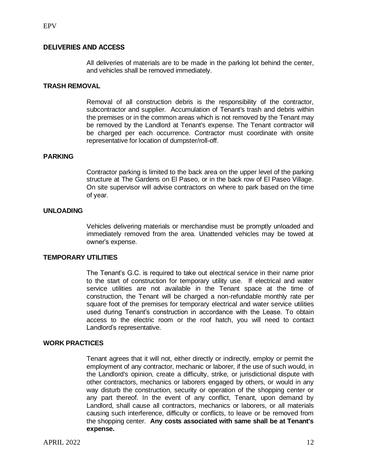#### **DELIVERIES AND ACCESS**

All deliveries of materials are to be made in the parking lot behind the center, and vehicles shall be removed immediately.

#### **TRASH REMOVAL**

Removal of all construction debris is the responsibility of the contractor, subcontractor and supplier. Accumulation of Tenant's trash and debris within the premises or in the common areas which is not removed by the Tenant may be removed by the Landlord at Tenant's expense. The Tenant contractor will be charged per each occurrence. Contractor must coordinate with onsite representative for location of dumpster/roll-off.

#### **PARKING**

Contractor parking is limited to the back area on the upper level of the parking structure at The Gardens on El Paseo, or in the back row of El Paseo Village. On site supervisor will advise contractors on where to park based on the time of year.

#### **UNLOADING**

Vehicles delivering materials or merchandise must be promptly unloaded and immediately removed from the area. Unattended vehicles may be towed at owner's expense.

#### **TEMPORARY UTILITIES**

The Tenant's G.C. is required to take out electrical service in their name prior to the start of construction for temporary utility use. If electrical and water service utilities are not available in the Tenant space at the time of construction, the Tenant will be charged a non-refundable monthly rate per square foot of the premises for temporary electrical and water service utilities used during Tenant's construction in accordance with the Lease. To obtain access to the electric room or the roof hatch, you will need to contact Landlord's representative.

#### **WORK PRACTICES**

Tenant agrees that it will not, either directly or indirectly, employ or permit the employment of any contractor, mechanic or laborer, if the use of such would, in the Landlord's opinion, create a difficulty, strike, or jurisdictional dispute with other contractors, mechanics or laborers engaged by others, or would in any way disturb the construction, security or operation of the shopping center or any part thereof. In the event of any conflict, Tenant, upon demand by Landlord, shall cause all contractors, mechanics or laborers, or all materials causing such interference, difficulty or conflicts, to leave or be removed from the shopping center. **Any costs associated with same shall be at Tenant's expense.**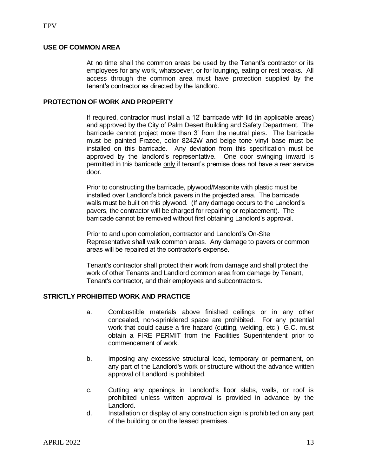#### **USE OF COMMON AREA**

At no time shall the common areas be used by the Tenant's contractor or its employees for any work, whatsoever, or for lounging, eating or rest breaks. All access through the common area must have protection supplied by the tenant's contractor as directed by the landlord.

#### **PROTECTION OF WORK AND PROPERTY**

If required, contractor must install a 12' barricade with lid (in applicable areas) and approved by the City of Palm Desert Building and Safety Department. The barricade cannot project more than 3' from the neutral piers. The barricade must be painted Frazee, color 8242W and beige tone vinyl base must be installed on this barricade. Any deviation from this specification must be approved by the landlord's representative. One door swinging inward is permitted in this barricade only if tenant's premise does not have a rear service door.

Prior to constructing the barricade, plywood/Masonite with plastic must be installed over Landlord's brick pavers in the projected area. The barricade walls must be built on this plywood. (If any damage occurs to the Landlord's pavers, the contractor will be charged for repairing or replacement). The barricade cannot be removed without first obtaining Landlord's approval.

Prior to and upon completion, contractor and Landlord's On-Site Representative shall walk common areas. Any damage to pavers or common areas will be repaired at the contractor's expense.

Tenant's contractor shall protect their work from damage and shall protect the work of other Tenants and Landlord common area from damage by Tenant, Tenant's contractor, and their employees and subcontractors.

## **STRICTLY PROHIBITED WORK AND PRACTICE**

- a. Combustible materials above finished ceilings or in any other concealed, non-sprinklered space are prohibited. For any potential work that could cause a fire hazard (cutting, welding, etc.) G.C. must obtain a FIRE PERMIT from the Facilities Superintendent prior to commencement of work.
- b. Imposing any excessive structural load, temporary or permanent, on any part of the Landlord's work or structure without the advance written approval of Landlord is prohibited.
- c. Cutting any openings in Landlord's floor slabs, walls, or roof is prohibited unless written approval is provided in advance by the Landlord.
- d. Installation or display of any construction sign is prohibited on any part of the building or on the leased premises.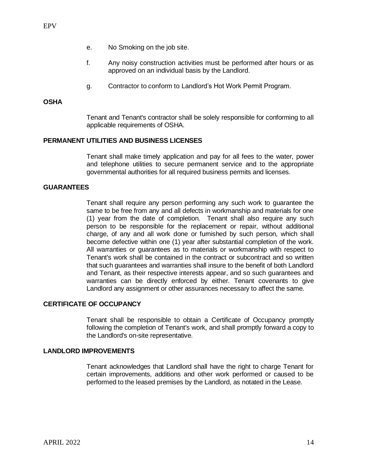- e. No Smoking on the job site.
- f. Any noisy construction activities must be performed after hours or as approved on an individual basis by the Landlord.
- g. Contractor to conform to Landlord's Hot Work Permit Program.

#### **OSHA**

Tenant and Tenant's contractor shall be solely responsible for conforming to all applicable requirements of OSHA.

#### **PERMANENT UTILITIES AND BUSINESS LICENSES**

Tenant shall make timely application and pay for all fees to the water, power and telephone utilities to secure permanent service and to the appropriate governmental authorities for all required business permits and licenses.

#### **GUARANTEES**

Tenant shall require any person performing any such work to guarantee the same to be free from any and all defects in workmanship and materials for one (1) year from the date of completion. Tenant shall also require any such person to be responsible for the replacement or repair, without additional charge, of any and all work done or furnished by such person, which shall become defective within one (1) year after substantial completion of the work. All warranties or guarantees as to materials or workmanship with respect to Tenant's work shall be contained in the contract or subcontract and so written that such guarantees and warranties shall insure to the benefit of both Landlord and Tenant, as their respective interests appear, and so such guarantees and warranties can be directly enforced by either. Tenant covenants to give Landlord any assignment or other assurances necessary to affect the same.

#### **CERTIFICATE OF OCCUPANCY**

Tenant shall be responsible to obtain a Certificate of Occupancy promptly following the completion of Tenant's work, and shall promptly forward a copy to the Landlord's on-site representative.

#### **LANDLORD IMPROVEMENTS**

Tenant acknowledges that Landlord shall have the right to charge Tenant for certain improvements, additions and other work performed or caused to be performed to the leased premises by the Landlord, as notated in the Lease.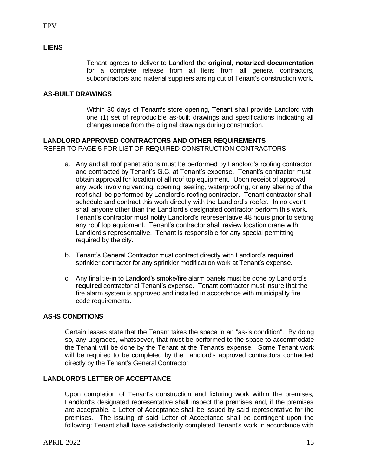### **LIENS**

Tenant agrees to deliver to Landlord the **original, notarized documentation** for a complete release from all liens from all general contractors, subcontractors and material suppliers arising out of Tenant's construction work.

#### **AS-BUILT DRAWINGS**

Within 30 days of Tenant's store opening, Tenant shall provide Landlord with one (1) set of reproducible as-built drawings and specifications indicating all changes made from the original drawings during construction.

### **LANDLORD APPROVED CONTRACTORS AND OTHER REQUIREMENTS**

REFER TO PAGE 5 FOR LIST OF REQUIRED CONSTRUCTION CONTRACTORS

- a. Any and all roof penetrations must be performed by Landlord's roofing contractor and contracted by Tenant's G.C. at Tenant's expense. Tenant's contractor must obtain approval for location of all roof top equipment. Upon receipt of approval, any work involving venting, opening, sealing, waterproofing, or any altering of the roof shall be performed by Landlord's roofing contractor. Tenant contractor shall schedule and contract this work directly with the Landlord's roofer. In no event shall anyone other than the Landlord's designated contractor perform this work. Tenant's contractor must notify Landlord's representative 48 hours prior to setting any roof top equipment. Tenant's contractor shall review location crane with Landlord's representative. Tenant is responsible for any special permitting required by the city.
- b. Tenant's General Contractor must contract directly with Landlord's **required** sprinkler contractor for any sprinkler modification work at Tenant's expense.
- c. Any final tie-in to Landlord's smoke/fire alarm panels must be done by Landlord's **required** contractor at Tenant's expense. Tenant contractor must insure that the fire alarm system is approved and installed in accordance with municipality fire code requirements.

#### **AS-IS CONDITIONS**

Certain leases state that the Tenant takes the space in an "as-is condition". By doing so, any upgrades, whatsoever, that must be performed to the space to accommodate the Tenant will be done by the Tenant at the Tenant's expense. Some Tenant work will be required to be completed by the Landlord's approved contractors contracted directly by the Tenant's General Contractor.

#### **LANDLORD'S LETTER OF ACCEPTANCE**

Upon completion of Tenant's construction and fixturing work within the premises, Landlord's designated representative shall inspect the premises and, if the premises are acceptable, a Letter of Acceptance shall be issued by said representative for the premises. The issuing of said Letter of Acceptance shall be contingent upon the following: Tenant shall have satisfactorily completed Tenant's work in accordance with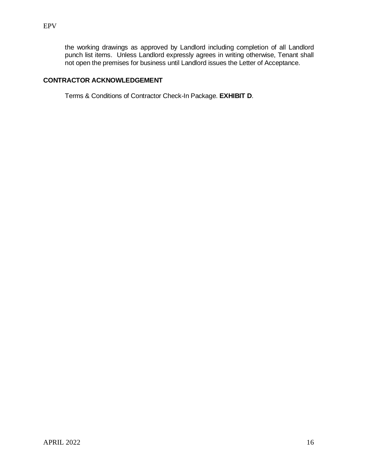the working drawings as approved by Landlord including completion of all Landlord punch list items. Unless Landlord expressly agrees in writing otherwise, Tenant shall not open the premises for business until Landlord issues the Letter of Acceptance.

### **CONTRACTOR ACKNOWLEDGEMENT**

Terms & Conditions of Contractor Check-In Package. **EXHIBIT D**.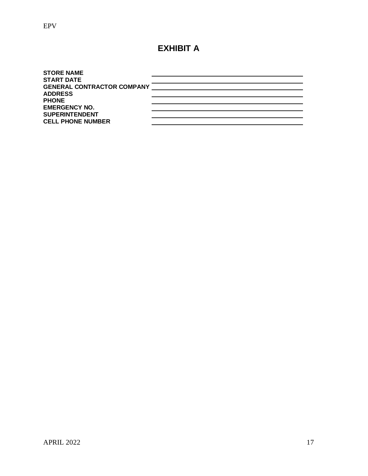## **EXHIBIT A**

| <b>STORE NAME</b>                 |  |
|-----------------------------------|--|
| <b>START DATE</b>                 |  |
| <b>GENERAL CONTRACTOR COMPANY</b> |  |
| <b>ADDRESS</b>                    |  |
| <b>PHONE</b>                      |  |
| <b>EMERGENCY NO.</b>              |  |
| <b>SUPERINTENDENT</b>             |  |
| <b>CELL PHONE NUMBER</b>          |  |
|                                   |  |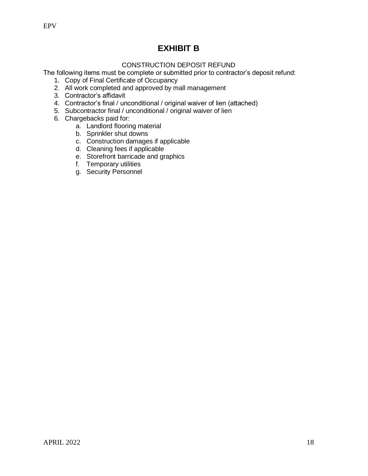## **EXHIBIT B**

## CONSTRUCTION DEPOSIT REFUND

The following items must be complete or submitted prior to contractor's deposit refund:

- 1. Copy of Final Certificate of Occupancy
- 2. All work completed and approved by mall management
- 3. Contractor's affidavit
- 4. Contractor's final / unconditional / original waiver of lien (attached)
- 5. Subcontractor final / unconditional / original waiver of lien
- 6. Chargebacks paid for:
	- a. Landlord flooring material
	- b. Sprinkler shut downs
	- c. Construction damages if applicable
	- d. Cleaning fees if applicable
	- e. Storefront barricade and graphics
	- f. Temporary utilities
	- g. Security Personnel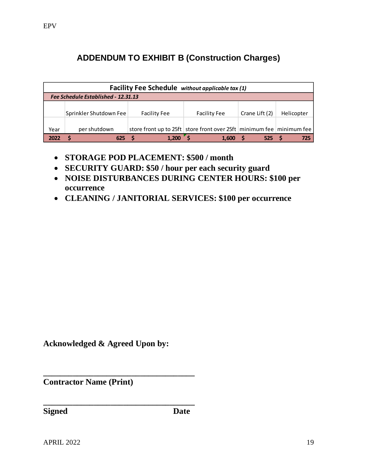## **ADDENDUM TO EXHIBIT B (Construction Charges)**

| <b>Facility Fee Schedule</b> without applicable tax (1) |                        |                                                                            |                     |                |            |
|---------------------------------------------------------|------------------------|----------------------------------------------------------------------------|---------------------|----------------|------------|
| Fee Schedule Established - 12.31.13                     |                        |                                                                            |                     |                |            |
|                                                         |                        |                                                                            |                     |                |            |
|                                                         | Sprinkler Shutdown Fee | <b>Facility Fee</b>                                                        | <b>Facility Fee</b> | Crane Lift (2) | Helicopter |
|                                                         |                        |                                                                            |                     |                |            |
| Year                                                    | per shutdown           | store front up to 25ft   store front over 25ft   minimum fee   minimum fee |                     |                |            |
| 2022                                                    | 625                    | 1.200                                                                      | 1.600               | 525            |            |

- **STORAGE POD PLACEMENT: \$500 / month**
- **SECURITY GUARD: \$50 / hour per each security guard**
- **NOISE DISTURBANCES DURING CENTER HOURS: \$100 per occurrence**
- **CLEANING / JANITORIAL SERVICES: \$100 per occurrence**

**Acknowledged & Agreed Upon by:**

**\_\_\_\_\_\_\_\_\_\_\_\_\_\_\_\_\_\_\_\_\_\_\_\_\_\_\_\_\_\_\_\_\_\_\_\_**

**\_\_\_\_\_\_\_\_\_\_\_\_\_\_\_\_\_\_\_\_\_\_\_\_\_\_\_\_\_\_\_\_\_\_\_\_**

**Contractor Name (Print)**

**Signed Date**

APRIL 2022 19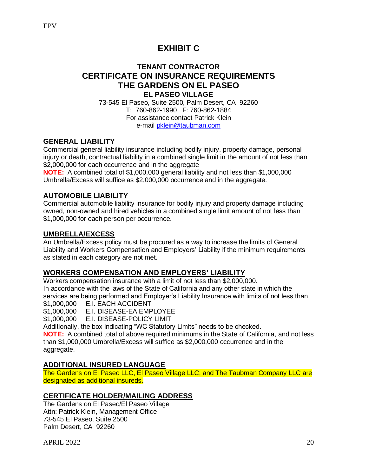## **EXHIBIT C**

## **TENANT CONTRACTOR CERTIFICATE ON INSURANCE REQUIREMENTS THE GARDENS ON EL PASEO EL PASEO VILLAGE**

73-545 El Paseo, Suite 2500, Palm Desert, CA 92260 T: 760-862-1990 F: 760-862-1884 For assistance contact Patrick Klein e-mail [pklein@taubman.com](mailto:pklein@taubman.com)

## **GENERAL LIABILITY**

Commercial general liability insurance including bodily injury, property damage, personal injury or death, contractual liability in a combined single limit in the amount of not less than \$2,000,000 for each occurrence and in the aggregate

**NOTE:** A combined total of \$1,000,000 general liability and not less than \$1,000,000 Umbrella/Excess will suffice as \$2,000,000 occurrence and in the aggregate.

## **AUTOMOBILE LIABILITY**

Commercial automobile liability insurance for bodily injury and property damage including owned, non-owned and hired vehicles in a combined single limit amount of not less than \$1,000,000 for each person per occurrence.

## **UMBRELLA/EXCESS**

An Umbrella/Excess policy must be procured as a way to increase the limits of General Liability and Workers Compensation and Employers' Liability if the minimum requirements as stated in each category are not met.

## **WORKERS COMPENSATION AND EMPLOYERS' LIABILITY**

Workers compensation insurance with a limit of not less than \$2,000,000. In accordance with the laws of the State of California and any other state in which the services are being performed and Employer's Liability Insurance with limits of not less than

\$1,000,000 E.I. EACH ACCIDENT

\$1,000,000 E.I. DISEASE-EA EMPLOYEE

\$1,000,000 E.I. DISEASE-POLICY LIMIT

Additionally, the box indicating "WC Statutory Limits" needs to be checked.

**NOTE:** A combined total of above required minimums in the State of California, and not less than \$1,000,000 Umbrella/Excess will suffice as \$2,000,000 occurrence and in the aggregate.

## **ADDITIONAL INSURED LANGUAGE**

The Gardens on El Paseo LLC, El Paseo Village LLC, and The Taubman Company LLC are designated as additional insureds.

## **CERTIFICATE HOLDER/MAILING ADDRESS**

The Gardens on El Paseo/El Paseo Village Attn: Patrick Klein, Management Office 73-545 El Paseo, Suite 2500 Palm Desert, CA 92260

 $APRIL$  2022 20